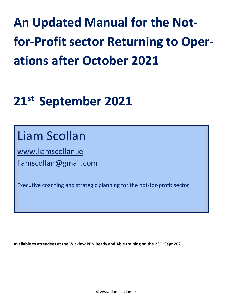# **An Updated Manual for the Notfor-Profit sector Returning to Operations after October 2021**

# **21 st September 2021**

## Liam Scollan

[www.liamscollan.ie](http://www.liamscollan.ie/) [liamscollan@gmail.com](mailto:liamscollan@gmail.com)

Executive coaching and strategic planning for the not-for-profit sector

**Available to attendees at the Wicklow PPN Ready and Able training on the 23 rd Sept 2021.**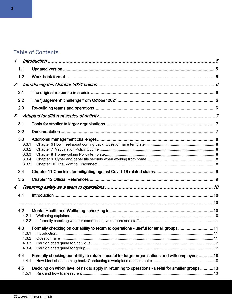## **Table of Contents**

| $\mathcal I$<br>1.1<br>1.2<br>2.1<br>2.2<br>2.3<br>3.1<br>3.2<br>3.3<br>3.3.1<br>3.3.2<br>3.3.3<br>3.3.4<br>3.3.5<br>3.4<br>3.5<br>4.1<br>4.2<br>4.2.1<br>4.2.2<br>4.3<br>4.3.1<br>4.3.2<br>4.3.3<br>4.3.4<br>4.4<br>4.4.1<br>Deciding on which level of risk to apply in returning to operations - useful for smaller groups13<br>4.5<br>4.5.1 |  |                                                                                                |  |
|-------------------------------------------------------------------------------------------------------------------------------------------------------------------------------------------------------------------------------------------------------------------------------------------------------------------------------------------------|--|------------------------------------------------------------------------------------------------|--|
| $\overline{\mathcal{L}}$<br>3<br>4                                                                                                                                                                                                                                                                                                              |  |                                                                                                |  |
|                                                                                                                                                                                                                                                                                                                                                 |  |                                                                                                |  |
|                                                                                                                                                                                                                                                                                                                                                 |  |                                                                                                |  |
|                                                                                                                                                                                                                                                                                                                                                 |  |                                                                                                |  |
|                                                                                                                                                                                                                                                                                                                                                 |  |                                                                                                |  |
|                                                                                                                                                                                                                                                                                                                                                 |  |                                                                                                |  |
|                                                                                                                                                                                                                                                                                                                                                 |  |                                                                                                |  |
|                                                                                                                                                                                                                                                                                                                                                 |  |                                                                                                |  |
|                                                                                                                                                                                                                                                                                                                                                 |  |                                                                                                |  |
|                                                                                                                                                                                                                                                                                                                                                 |  |                                                                                                |  |
|                                                                                                                                                                                                                                                                                                                                                 |  |                                                                                                |  |
|                                                                                                                                                                                                                                                                                                                                                 |  |                                                                                                |  |
|                                                                                                                                                                                                                                                                                                                                                 |  |                                                                                                |  |
|                                                                                                                                                                                                                                                                                                                                                 |  |                                                                                                |  |
|                                                                                                                                                                                                                                                                                                                                                 |  |                                                                                                |  |
|                                                                                                                                                                                                                                                                                                                                                 |  |                                                                                                |  |
|                                                                                                                                                                                                                                                                                                                                                 |  |                                                                                                |  |
|                                                                                                                                                                                                                                                                                                                                                 |  |                                                                                                |  |
|                                                                                                                                                                                                                                                                                                                                                 |  |                                                                                                |  |
|                                                                                                                                                                                                                                                                                                                                                 |  |                                                                                                |  |
|                                                                                                                                                                                                                                                                                                                                                 |  |                                                                                                |  |
|                                                                                                                                                                                                                                                                                                                                                 |  |                                                                                                |  |
|                                                                                                                                                                                                                                                                                                                                                 |  |                                                                                                |  |
|                                                                                                                                                                                                                                                                                                                                                 |  |                                                                                                |  |
|                                                                                                                                                                                                                                                                                                                                                 |  | Formally checking on our ability to return to operations - useful for small groups 11          |  |
|                                                                                                                                                                                                                                                                                                                                                 |  |                                                                                                |  |
|                                                                                                                                                                                                                                                                                                                                                 |  |                                                                                                |  |
|                                                                                                                                                                                                                                                                                                                                                 |  |                                                                                                |  |
|                                                                                                                                                                                                                                                                                                                                                 |  |                                                                                                |  |
|                                                                                                                                                                                                                                                                                                                                                 |  | Formally checking our ability to return - useful for larger organisations and with employees18 |  |
|                                                                                                                                                                                                                                                                                                                                                 |  |                                                                                                |  |
|                                                                                                                                                                                                                                                                                                                                                 |  |                                                                                                |  |
|                                                                                                                                                                                                                                                                                                                                                 |  |                                                                                                |  |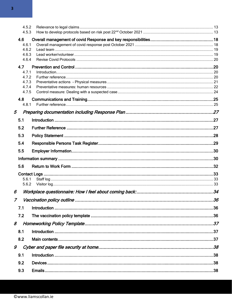|               | 4.5.2          |  |
|---------------|----------------|--|
|               | 4.5.3          |  |
|               | 4.6            |  |
|               | 4.6.1          |  |
|               | 4.6.2<br>4.6.3 |  |
|               | 4.6.4          |  |
|               | 4.7            |  |
|               | 4.7.1          |  |
|               | 4.7.2          |  |
|               | 4.7.3          |  |
|               | 4.7.4<br>4.7.5 |  |
|               |                |  |
|               | 4.8<br>4.8.1   |  |
|               |                |  |
| 5             |                |  |
|               | 5.1            |  |
|               | 5.2            |  |
|               | 5.3            |  |
|               | 5.4            |  |
|               | 5.5            |  |
|               |                |  |
|               | 5.6            |  |
|               |                |  |
|               | 5.6.1          |  |
|               | 5.6.2          |  |
| 6             |                |  |
| $\mathcal{I}$ |                |  |
|               | 7.1            |  |
|               | 7.2            |  |
| 8             |                |  |
|               | 8.1            |  |
|               | 8.2            |  |
| 9             |                |  |
|               | 9.1            |  |
|               | 9.2            |  |
|               | 9.3            |  |
|               |                |  |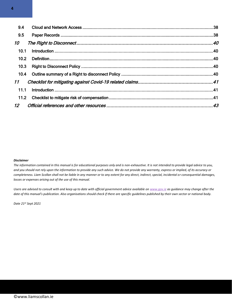| 9.4             |  |
|-----------------|--|
| 9.5             |  |
| 10              |  |
| 10.1            |  |
| 10.2            |  |
| 10.3            |  |
| 10.4            |  |
| 11              |  |
| 11.1            |  |
| 11.2            |  |
| 12 <sup>7</sup> |  |

#### *Disclaimer*

*The information contained in this manual is for educational purposes only and is non-exhaustive. It is not intended to provide legal advice to you, and you should not rely upon the information to provide any such advice. We do not provide any warranty, express or implied, of its accuracy or completeness. Liam Scollan shall not be liable in any manner or to any extent for any direct, indirect, special, incidental or consequential damages, losses or expenses arising out of the use of this manual.* 

*Users are advised to consult with and keep up to date with official government advice available on [www.gov.ie](http://www.gov.ie/) as guidance may change after the date of this manual's publication. Also organisations should check if there are specific guidelines published by their own sector or national body.* 

*Date 21 st Sept 2021*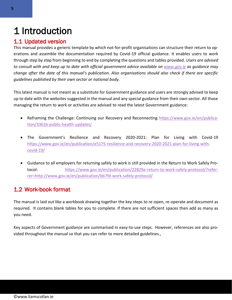## <span id="page-4-0"></span>1 Introduction

## <span id="page-4-1"></span>1.1 Updated version

This manual provides a generic template by which not-for-profit organisations can structure their return to operations and assemble the documentation required by Covid-19 official guidance. It enables users to work through step by step from beginning to end by completing the questions and tables provided. *Users are advised to consult with and keep up to date with official government advice available on [www.gov.ie](http://www.gov.ie/) as guidance may change after the date of this manual's publication. Also organisations should also check if there are specific guidelines published by their own sector or national body.* 

This latest manual is not meant as a substitute for Government guidance and users are strongly advised to keep up to date with the websites suggested in the manual and any special guidance from their own sector. All those managing the return to work or activities are advised to read the latest Government guidance:

- Reframing the Challenge: Continuing our Recovery and Reconnecting [https://www.gov.ie/en/publica](https://www.gov.ie/en/publication/3361b-public-health-updates/)[tion/3361b-public-health-updates/](https://www.gov.ie/en/publication/3361b-public-health-updates/)
- The Government's Resilience and Recovery 2020-2021: Plan for Living with Covid-19 [https://www.gov.ie/en/publication/e5175-resilience-and-recovery-2020-2021-plan-for-living-with](https://www.gov.ie/en/publication/e5175-resilience-and-recovery-2020-2021-plan-for-living-with-covid-19/)[covid-19/](https://www.gov.ie/en/publication/e5175-resilience-and-recovery-2020-2021-plan-for-living-with-covid-19/)
- Guidance to all employers for returning safely to work is still provided in the Return to Work Safely Protocol: [https://www.gov.ie/en/publication/22829a-return-to-work-safely-protocol/?refer](https://www.gov.ie/en/publication/22829a-return-to-work-safely-protocol/?referrer=http://www.gov.ie/en/publication/bb7fd-work-safely-protocol/)[rer=http://www.gov.ie/en/publication/bb7fd-work-safely-protocol/](https://www.gov.ie/en/publication/22829a-return-to-work-safely-protocol/?referrer=http://www.gov.ie/en/publication/bb7fd-work-safely-protocol/)

## <span id="page-4-2"></span>1.2 Work-book format

The manual is laid out like a workbook drawing together the key steps to re-open, re-operate and document as required. It contains blank tables for you to complete. If there are not sufficient spaces then add as many as you need.

Key aspects of Government guidance are summarised in easy-to-use steps. However, references are also provided throughout the manual so that you can refer to more detailed guidelines.,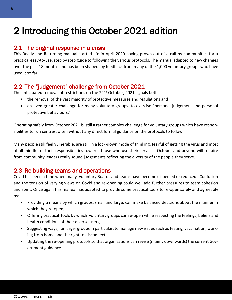## <span id="page-5-0"></span>2 Introducing this October 2021 edition

## <span id="page-5-1"></span>2.1 The original response in a crisis

This Ready and Returning manual started life in April 2020 having grown out of a call by communities for a practical easy-to-use, step by step guide to following the various protocols. The manual adapted to new changes over the past 18 months and has been shaped by feedback from many of the 1,000 voluntary groups who have used it so far.

## <span id="page-5-2"></span>2.2 The "judgement" challenge from October 2021

The anticipated removal of restrictions on the 22<sup>nd</sup> October, 2021 signals both

- the removal of the vast majority of protective measures and regulations and
- an even greater challenge for many voluntary groups. to exercise "personal judgement and personal protective behaviours."

Operating safely from October 2021 is still a rather complex challenge for voluntary groups which have responsibilities to run centres, often without any direct formal guidance on the protocols to follow.

Many people still feel vulnerable, are still in a lock-down mode of thinking, fearful of getting the virus and most of all mindful of their responsibilities towards those who use their services. October and beyond will require from community leaders really sound judgements reflecting the diversity of the people they serve.

## <span id="page-5-3"></span>2.3 Re-building teams and operations

Covid has been a time when many voluntary Boards and teams have become dispersed or reduced. Confusion and the tension of varying views on Covid and re-opening could well add further pressures to team cohesion and spirit. Once again this manual has adapted to provide some practical tools to re-open safely and agreeably by:

- Providing a means by which groups, small and large, can make balanced decisions about the manner in which they re-open;
- Offering practical tools by which voluntary groups can re-open while respecting the feelings, beliefs and health conditions of their diverse users;
- Suggesting ways, for larger groups in particular, to manage new issues such as testing, vaccination, working from home and the right to disconnect;
- Updating the re-opening protocols so that organisations can revise (mainly downwards) the current Government guidance.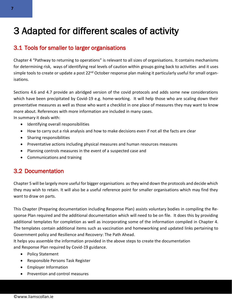## <span id="page-6-0"></span>3 Adapted for different scales of activity

## <span id="page-6-1"></span>3.1 Tools for smaller to larger organisations

Chapter 4 "Pathway to returning to operations" is relevant to all sizes of organisations. It contains mechanisms for determining risk, ways of identifying real levels of caution within groups going back to activities and it uses simple tools to create or update a post 22<sup>nd</sup> October response plan making it particularly useful for small organisations.

Sections 4.6 and 4.7 provide an abridged version of the covid protocols and adds some new considerations which have been precipitated by Covid-19 e.g. home-working. It will help those who are scaling down their preventative measures as well as those who want a checklist in one place of measures they may want to know more about. References with more information are included in many cases.

In summary it deals with:

- Identifying overall responsibilities
- How to carry out a risk analysis and how to make decisions even if not all the facts are clear
- Sharing responsibilities
- Preventative actions including physical measures and human resources measures
- Planning controls measures in the event of a suspected case and
- Communications and training

## <span id="page-6-2"></span>3.2 Documentation

Chapter 5 will be largely more useful for bigger organisations as they wind down the protocols and decide which they may wish to retain. It will also be a useful reference point for smaller organisations which may find they want to draw on parts.

This Chapter (Preparing documentation including Response Plan) assists voluntary bodies in compiling the Response Plan required and the additional documentation which will need to be on file. It does this by providing additional templates for completion as well as incorporating some of the information compiled in Chapter 4. The templates contain additional items such as vaccination and homeworking and updated links pertaining to Government policy and Resilience and Recovery: The Path Ahead.

It helps you assemble the information provided in the above steps to create the documentation and Response Plan required by Covid-19 guidance.

- Policy Statement
- Responsible Persons Task Register
- Employer Information
- Prevention and control measures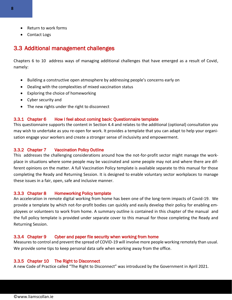- Return to work forms
- Contact Logs

### <span id="page-7-0"></span>3.3 Additional management challenges

Chapters 6 to 10 address ways of managing additional challenges that have emerged as a result of Covid, namely:

- Building a constructive open atmosphere by addressing people's concerns early on
- Dealing with the complexities of mixed vaccination status
- Exploring the choice of homeworking
- Cyber security and
- The new rights under the right to disconnect

#### <span id="page-7-1"></span>3.3.1 Chapter 6 How I feel about coming back: Questionnaire template

This questionnaire supports the content in Section 4.4 and relates to the additional (optional) consultation you may wish to undertake as you re-open for work. It provides a template that you can adapt to help your organisation engage your workers and create a stronger sense of inclusivity and empowerment.

#### <span id="page-7-2"></span>3.3.2 Chapter 7 Vaccination Policy Outline

This addresses the challenging considerations around how the not-for-profit sector might manage the workplace in situations where some people may be vaccinated and some people may not and where there are different opinions on the matter. A full Vaccination Policy template is available separate to this manual for those completing the Ready and Returning Session. It is designed to enable voluntary sector workplaces to manage these issues in a fair, open, safe and inclusive manner.

#### <span id="page-7-3"></span>3.3.3 Chapter 8 Homeworking Policy template

An acceleration in remote digital working from home has been one of the long-term impacts of Covid-19. We provide a template by which not-for-profit bodies can quickly and easily develop their policy for enabling employees or volunteers to work from home. A summary outline is contained in this chapter of the manual and the full policy template is provided under separate cover to this manual for those completing the Ready and Returning Session.

#### <span id="page-7-4"></span>3.3.4 Chapter 9 Cyber and paper file security when working from home

Measures to control and prevent the spread of COVID-19 will involve more people working remotely than usual. We provide some tips to keep personal data safe when working away from the office.

#### <span id="page-7-5"></span>3.3.5 Chapter 10 The Right to Disconnect

A new Code of Practice called "The Right to Disconnect" was introduced by the Government in April 2021.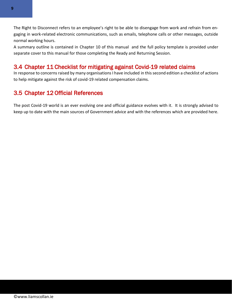The Right to Disconnect refers to an employee's right to be able to disengage from work and refrain from engaging in work-related electronic communications, such as emails, telephone calls or other messages, outside normal working hours.

A summary outline is contained in Chapter 10 of this manual and the full policy template is provided under separate cover to this manual for those completing the Ready and Returning Session.

## <span id="page-8-0"></span>3.4 Chapter 11 Checklist for mitigating against Covid-19 related claims

In response to concerns raised by many organisations I have included in this second edition a checklist of actions to help mitigate against the risk of covid-19 related compensation claims.

## <span id="page-8-1"></span>3.5 Chapter 12 Official References

The post Covid-19 world is an ever evolving one and official guidance evolves with it. It is strongly advised to keep up to date with the main sources of Government advice and with the references which are provided here.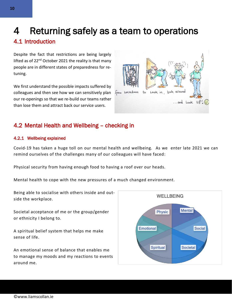## <span id="page-9-0"></span>4 Returning safely as a team to operations

## <span id="page-9-1"></span>4.1 Introduction

<span id="page-9-2"></span>Despite the fact that restrictions are being largely lifted as of  $22<sup>nd</sup>$  October 2021 the reality is that many people are in different states of preparedness for retuning.

We first understand the possible impacts suffered by colleagues and then see how we can sensitively plan our re-openings so that we re-build our teams rather than lose them and attract back our service users.

## Look in Look around  $to$ Lockdown from  $\ldots$  and Look  $UP$ .

## <span id="page-9-3"></span>4.2 Mental Health and Wellbeing – checking in

### <span id="page-9-4"></span>4.2.1 Wellbeing explained

Covid-19 has taken a huge toll on our mental health and wellbeing. As we enter late 2021 we can remind ourselves of the challenges many of our colleagues will have faced:

Physical security from having enough food to having a roof over our heads.

Mental health to cope with the new pressures of a much changed environment.

Being able to socialise with others inside and outside the workplace.

Societal acceptance of me or the group/gender or ethnicity I belong to.

A spiritual belief system that helps me make sense of life.

An emotional sense of balance that enables me to manage my moods and my reactions to events around me.

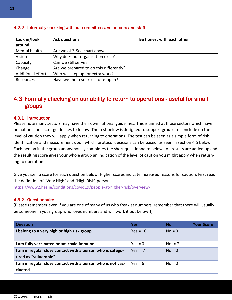| Look in/look<br>around | <b>Ask questions</b>                    | Be honest with each other |
|------------------------|-----------------------------------------|---------------------------|
| Mental health          | Are we ok? See chart above.             |                           |
| Vision                 | Why does our organisation exist?        |                           |
| Capacity               | Can we still serve?                     |                           |
| Change                 | Are we prepared to do this differently? |                           |
| Additional effort      | Who will step up for extra work?        |                           |
| Resources              | Have we the resources to re-open?       |                           |

#### <span id="page-10-0"></span>4.2.2 Informally checking with our committees, volunteers and staff

## <span id="page-10-1"></span>4.3 Formally checking on our ability to return to operations - useful for small groups

#### <span id="page-10-2"></span>4.3.1 Introduction

Please note many sectors may have their own national guidelines. This is aimed at those sectors which have no national or sector guidelines to follow. The test below is designed to support groups to conclude on the level of caution they will apply when returning to operations. The test can be seen as a simple form of risk identification and measurement upon which protocol decisions can be based, as seen in section 4.5 below. Each person in the group anonymously completes the short questionnaire below. All results are added up and the resulting score gives your whole group an indication of the level of caution you might apply when returning to operation.

Give yourself a score for each question below. Higher scores indicate increased reasons for caution. First read the definition of "Very High" and "High Risk" persons.

<https://www2.hse.ie/conditions/covid19/people-at-higher-risk/overview/>

#### <span id="page-10-3"></span>4.3.2 Questionnaire

(Please remember even if you are one of many of us who freak at numbers, remember that there will usually be someone in your group who loves numbers and will work it out below!!)

| <b>Question</b>                                                                     | <b>Yes</b> | <b>No</b> | <b>Your Score</b> |
|-------------------------------------------------------------------------------------|------------|-----------|-------------------|
| I belong to a very high or high risk group                                          | $Yes = 10$ | $No = 0$  |                   |
| I am fully vaccinated or am covid immune                                            | $Yes = 0$  | $No = 7$  |                   |
| I am in regular close contact with a person who is catego-<br>rized as "vulnerable" | $Yes = 7$  | $No = 0$  |                   |
| I am in regular close contact with a person who is not vac-<br>cinated              | $Yes = 6$  | $No = 0$  |                   |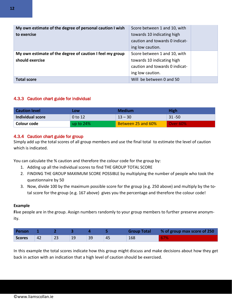| My own estimate of the degree of personal caution I wish<br>to exercise | Score between 1 and 10, with<br>towards 10 indicating high<br>caution and towards 0 indicat- |  |
|-------------------------------------------------------------------------|----------------------------------------------------------------------------------------------|--|
|                                                                         | ing low caution.                                                                             |  |
| My own estimate of the degree of caution I feel my group                | Score between 1 and 10, with                                                                 |  |
| should exercise                                                         | towards 10 indicating high                                                                   |  |
|                                                                         | caution and towards 0 indicat-                                                               |  |
|                                                                         | ing low caution.                                                                             |  |
| <b>Total score</b>                                                      | Will be between 0 and 50                                                                     |  |

#### <span id="page-11-0"></span>4.3.3 Caution chart guide for individual

| <b>Caution level</b>    | LOW       | <b>Medium</b>      | High      |
|-------------------------|-----------|--------------------|-----------|
| <b>Individual score</b> | 0 to 12   | $13 - 30$          | $31 - 50$ |
| Colour code             | up to 24% | Between 25 and 60% | Over 60%  |

#### <span id="page-11-1"></span>4.3.4 Caution chart guide for group

Simply add up the total scores of all group members and use the final total to estimate the level of caution which is indicated.

You can calculate the % caution and therefore the colour code for the group by:

- 1. Adding up all the individual scores to find THE GROUP TOTAL SCORE
- 2. FINDING THE GROUP MAXIMUM SCORE POSSIBLE by multiplying the number of people who took the questionnaire by 50
- 3. Now, divide 100 by the maximum possible score for the group (e.g. 250 above) and multiply by the total score for the group (e.g. 167 above) gives you the percentage and therefore the colour code!

#### **Example**

**Fi**ve people are in the group. Assign numbers randomly to your group members to further preserve anonymity.

| Person |    |    |    |    |    | <b>Group Total</b> | % of group max score of 250 |
|--------|----|----|----|----|----|--------------------|-----------------------------|
| Scores | 42 | 23 | 19 | 39 | 45 | 168                | 67%                         |

In this example the total scores indicate how this group might discuss and make decisions about how they get back in action with an indication that a high level of caution should be exercised.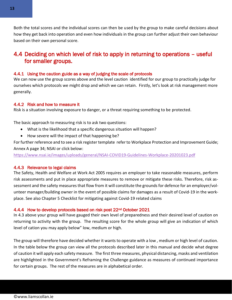Both the total scores and the individual scores can then be used by the group to make careful decisions about how they get back into operation and even how individuals in the group can further adjust their own behaviour based on their own personal score.

## <span id="page-12-0"></span>4.4 Deciding on which level of risk to apply in returning to operations – useful for smaller groups.

#### 4.4.1 Using the caution guide as a way of judging the scale of protocols

We can now use the group scores above and the level caution identified for our group to practically judge for ourselves which protocols we might drop and which we can retain. Firstly, let's look at risk management more generally.

#### <span id="page-12-1"></span>4.4.2 Risk and how to measure it

Risk is a situation involving exposure to danger, or a threat requiring something to be protected.

The basic approach to measuring risk is to ask two questions:

- What is the likelihood that a specific dangerous situation will happen?
- How severe will the impact of that happening be?

For further reference and to see a risk register template refer to Workplace Protection and Improvement Guide; Annex A page 34; NSAI or click below:

<https://www.nsai.ie/images/uploads/general/NSAI-COVID19-Guidelines-Workplace-20201023.pdf>

#### <span id="page-12-2"></span>4.4.3 Relevance to legal claims

The Safety, Health and Welfare at Work Act 2005 requires an employer to take reasonable measures, perform risk assessments and put in place appropriate measures to remove or mitigate these risks. Therefore, risk assessment and the safety measures that flow from it will constitute the grounds for defence for an employer/volunteer manager/building owner in the event of possible claims for damages as a result of Covid-19 in the workplace. See also Chapter 5 Checklist for mitigating against Covid-19 related claims

#### <span id="page-12-3"></span>4.4.4 How to develop protocols based on risk post 22<sup>nd</sup> October 2021

In 4.3 above your group will have gauged their own level of preparedness and their desired level of caution on returning to activity with the group. The resulting score for the whole group will give an indication of which level of cation you may apply below" low, medium or high.

The group will therefore have decided whether it wants to operate with a low , medium or high level of caution. In the table below the group can view all the protocols described later in this manual and decide what degree of caution it will apply each safety measure. The first three measures, physical distancing, masks and ventilation are highlighted in the Government's Reframing the Challenge guidance as measures of continued importance for certain groups. The rest of the measures are in alphabetical order.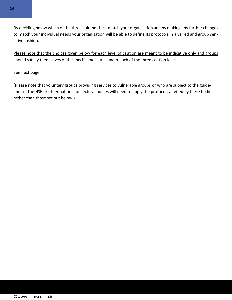

By deciding below which of the three columns best match your organisation and by making any further changes to match your individual needs your organisation will be able to define its protocols in a varied and group sensitive fashion.

Please note that the choices given below for each level of caution are meant to be indicative only and groups should satisfy themselves of the specific measures under each of the three caution levels.

See next page:

(Please note that voluntary groups providing services to vulnerable groups or who are subject to the guidelines of the HSE or other national or sectoral bodies will need to apply the protocols advised by these bodies rather than those set out below.)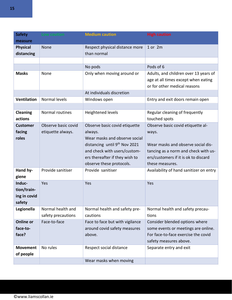| <b>Safety</b>                                   | Low caution                              | <b>Medium caution</b>                                                                                                                                                                                                | <b>High caution</b>                                                                                                                                                                 |
|-------------------------------------------------|------------------------------------------|----------------------------------------------------------------------------------------------------------------------------------------------------------------------------------------------------------------------|-------------------------------------------------------------------------------------------------------------------------------------------------------------------------------------|
| measure                                         |                                          |                                                                                                                                                                                                                      |                                                                                                                                                                                     |
| <b>Physical</b><br>distancing                   | None                                     | Respect physical distance more<br>than normal                                                                                                                                                                        | 1 or 2m                                                                                                                                                                             |
|                                                 |                                          |                                                                                                                                                                                                                      |                                                                                                                                                                                     |
|                                                 |                                          | No pods                                                                                                                                                                                                              | Pods of 6                                                                                                                                                                           |
| <b>Masks</b>                                    | None                                     | Only when moving around or                                                                                                                                                                                           | Adults, and children over 13 years of<br>age at all times except when eating<br>or for other medical reasons                                                                        |
|                                                 |                                          | At individuals discretion                                                                                                                                                                                            |                                                                                                                                                                                     |
| <b>Ventilation</b>                              | Normal levels                            | Windows open                                                                                                                                                                                                         | Entry and exit doors remain open                                                                                                                                                    |
|                                                 |                                          |                                                                                                                                                                                                                      |                                                                                                                                                                                     |
| <b>Cleaning</b><br>actions                      | Normal routines                          | Heightened levels                                                                                                                                                                                                    | Regular cleaning of frequently<br>touched spots                                                                                                                                     |
| <b>Customer</b><br>facing<br>roles              | Observe basic covid<br>etiquette always. | Observe basic covid etiquette<br>always.<br>Wear masks and observe social<br>distancing until 9 <sup>th</sup> Nov 2021<br>and check with users/custom-<br>ers thereafter if they wish to<br>observe these protocols. | Observe basic covid etiquette al-<br>ways.<br>Wear masks and observe social dis-<br>tancing as a norm and check with us-<br>ers/customers if it is ok to discard<br>these measures. |
| Hand hy-<br>giene                               | Provide sanitiser                        | Provide sanitiser                                                                                                                                                                                                    | Availability of hand sanitizer on entry                                                                                                                                             |
| Induc-<br>tion/train-<br>ing in covid<br>safety | Yes                                      | Yes                                                                                                                                                                                                                  | Yes                                                                                                                                                                                 |
| Legionella                                      | Normal health and<br>safety precautions  | Normal health and safety pre-<br>cautions                                                                                                                                                                            | Normal health and safety precau-<br>tions                                                                                                                                           |
| <b>Online or</b><br>face-to-<br>face?           | Face-to-face                             | Face to face but with vigilance<br>around covid safety measures<br>above.                                                                                                                                            | Consider blended options where<br>some events or meetings are online.<br>For face-to-face exercise the covid<br>safety measures above.                                              |
| <b>Movement</b><br>of people                    | No rules                                 | Respect social distance                                                                                                                                                                                              | Separate entry and exit                                                                                                                                                             |
|                                                 |                                          | Wear masks when moving                                                                                                                                                                                               |                                                                                                                                                                                     |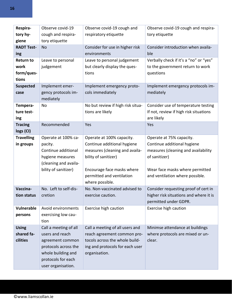| Respira-<br>tory hy-                            | Observe covid-19<br>cough and respira-                                                                                                                 | Observe covid-19 cough and<br>respiratory etiquette                                                                                                                                              | Observe covid-19 cough and respira-<br>tory etiquette                                                                                                                                 |
|-------------------------------------------------|--------------------------------------------------------------------------------------------------------------------------------------------------------|--------------------------------------------------------------------------------------------------------------------------------------------------------------------------------------------------|---------------------------------------------------------------------------------------------------------------------------------------------------------------------------------------|
| giene                                           | tory etiquette                                                                                                                                         |                                                                                                                                                                                                  |                                                                                                                                                                                       |
| <b>RADT Test-</b><br>ing                        | <b>No</b>                                                                                                                                              | Consider for use in higher risk<br>environments                                                                                                                                                  | Consider introduction when availa-<br>ble                                                                                                                                             |
| <b>Return to</b><br>work<br>form/ques-<br>tions | Leave to personal<br>judgement                                                                                                                         | Leave to personal judgement<br>but clearly display the ques-<br>tions                                                                                                                            | Verbally check if it's a "no" or "yes"<br>to the government return to work<br>questions                                                                                               |
| <b>Suspected</b><br>case                        | Implement emer-<br>gency protocols im-<br>mediately                                                                                                    | Implement emergency proto-<br>cols immediately                                                                                                                                                   | Implement emergency protocols im-<br>mediately                                                                                                                                        |
| Tempera-<br>ture test-<br>ing                   | No                                                                                                                                                     | No but review if high risk situa-<br>tions are likely                                                                                                                                            | Consider use of temperature testing<br>If not, review if high risk situations<br>are likely                                                                                           |
| <b>Tracing</b><br>logs (CI)                     | Recommended                                                                                                                                            | Yes                                                                                                                                                                                              | Yes                                                                                                                                                                                   |
| <b>Travelling</b><br>in groups                  | Operate at 100% ca-<br>pacity.<br>Continue additional<br>hygiene measures<br>(cleaning and availa-<br>bility of sanitizer)                             | Operate at 100% capacity.<br>Continue additional hygiene<br>measures (cleaning and availa-<br>bility of sanitizer)<br>Encourage face masks where<br>permitted and ventilation<br>where possible. | Operate at 75% capacity.<br>Continue additional hygiene<br>measures (cleaning and availability<br>of sanitizer)<br>Wear face masks where permitted<br>and ventilation where possible. |
| Vaccina-<br>tion status                         | No. Left to self-dis-<br>cretion                                                                                                                       | No. Non-vaccinated advised to<br>exercise caution.                                                                                                                                               | Consider requesting proof of cert in<br>higher risk situations and where it is<br>permitted under GDPR.                                                                               |
| Vulnerable<br>persons                           | Avoid environments<br>exercising low cau-<br>tion                                                                                                      | Exercise high caution                                                                                                                                                                            | Exercise high caution                                                                                                                                                                 |
| <b>Using</b><br>shared fa-<br>cilities          | Call a meeting of all<br>users and reach<br>agreement common<br>protocols across the<br>whole building and<br>protocols for each<br>user organisation. | Call a meeting of all users and<br>reach agreement common pro-<br>tocols across the whole build-<br>ing and protocols for each user<br>organisation.                                             | Minimse attendance at buildings<br>where protocols are mixed or un-<br>clear.                                                                                                         |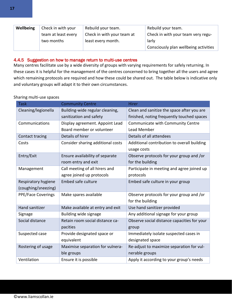| Wellbeing  | Check in with your  | Rebuild your team.         | Rebuild your team.                    |
|------------|---------------------|----------------------------|---------------------------------------|
|            | team at least every | Check in with your team at | Check in with your team very regu-    |
| two months |                     | least every month.         | larly                                 |
|            |                     |                            | Consciously plan wellbeing activities |

#### 4.4.5 Suggestion on how to manage return to multi-use centres

Many centres facilitate use by a wide diversity of groups with varying requirements for safely returning. In these cases it is helpful for the management of the centres concerned to bring together all the users and agree which remaining protocols are required and how these could be shared out. The table below is indicative only and voluntary groups will adapt it to their own circumstances.

#### Sharing multi-use spaces

| <b>Task</b>               | <b>Community Centre</b>           | <b>Hirer</b>                                |
|---------------------------|-----------------------------------|---------------------------------------------|
| Cleaning/legionella       | Building-wide regular cleaning,   | Clean and sanitize the space after you are  |
|                           | sanitization and safety           | finished, noting frequently touched spaces  |
| Communications            | Display agreement. Appoint Lead   | Communicate with Community Centre           |
|                           | Board member or volunteer         | Lead Member                                 |
| Contact tracing           | Details of hirer                  | Details of all attendees                    |
| Costs                     | Consider sharing additional costs | Additional contribution to overall building |
|                           |                                   | usage costs                                 |
| Entry/Exit                | Ensure availability of separate   | Observe protocols for your group and /or    |
|                           | room entry and exit               | for the building                            |
| Management                | Call meeting of all hirers and    | Participate in meeting and agree joined up  |
|                           | agree joined up protocols         | protocols                                   |
| Respiratory hygiene       | <b>Embed safe culture</b>         | Embed safe culture in your group            |
| (coughing/sneezing)       |                                   |                                             |
| <b>PPE/Face Coverings</b> | Make spares available             | Observe protocols for your group and /or    |
|                           |                                   | for the building                            |
| Hand sanitizer            | Make available at entry and exit  | Use hand sanitizer provided                 |
| Signage                   | Building wide signage             | Any additional signage for your group       |
| Social distance           | Retain room social distance ca-   | Observe social distance capacities for your |
|                           | pacities                          | group                                       |
| Suspected case            | Provide designated space or       | Immediately isolate suspected cases in      |
|                           | equivalent                        | designated space                            |
| Rostering of usage        | Maximise separation for vulnera-  | Re-adjust to maximize separation for vul-   |
|                           | ble groups                        | nerable groups                              |
| Ventilation               | Ensure it is possible             | Apply it according to your group's needs    |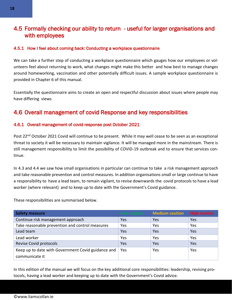## <span id="page-17-0"></span>4.5 Formally checking our ability to return - useful for larger organisations and with employees

#### <span id="page-17-1"></span>4.5.1 How I feel about coming back: Conducting a workplace questionnaire

We can take a further step of conducting a workplace questionnaire which gauges how our employees or volunteers feel about returning to work, what changes might make this better and how best to manage changes around homeworking, vaccination and other potentially difficult issues. A sample workplace questionnaire is provided in Chapter 6 of this manual.

Essentially the questionnaire aims to create an open and respectful discussion about issues where people may have differing views

## <span id="page-17-2"></span>4.6 Overall management of covid Response and key responsibilities

#### <span id="page-17-3"></span>4.6.1 Overall management of covid response post October 2021

Post 22<sup>nd</sup> October 2021 Covid will continue to be present. While it may well cease to be seen as an exceptional threat to society it will be necessary to maintain vigilance. It will be managed more in the mainstream. There is still management responsibility to limit the possibility of COVID-19 outbreak and to ensure that services continue.

In 4.3 and 4.4 we saw how small organisations in particular can continue to take a risk management approach and take reasonable prevention and control measures. In addition organisations small or large continue to have a responsibility to have a lead team, to remain vigilant, to revise downwards the covid protocols to have a lead worker (where relevant) and to keep up to date with the Government's Covid guidance.

These responsibilities are summarised below.

| <b>Safety measure</b>                                                |     | Low caution Medium caution | <b>High caution</b> |
|----------------------------------------------------------------------|-----|----------------------------|---------------------|
| Continue risk management approach                                    | Yes | Yes                        | Yes                 |
| Take reasonable prevention and control measures                      | Yes | Yes                        | Yes                 |
| Lead team                                                            | Yes | Yes                        | Yes                 |
| Lead worker                                                          | Yes | Yes                        | Yes                 |
| Revise Covid protocols                                               | Yes | Yes                        | Yes                 |
| Keep up to date with Government Covid guidance and<br>communicate it | Yes | Yes                        | Yes                 |

In this edition of the manual we will focus on the key additional core responsibilities: leadership, revising protocols, having a lead worker and keeping up to date with the Government's Covid advice.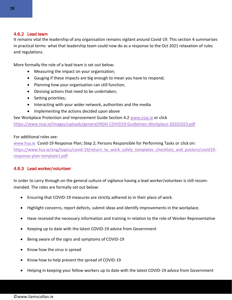#### <span id="page-18-0"></span>4.6.2 Lead team

It remains vital the leadership of any organisation remains vigilant around Covid-19. This section 4 summarises in practical terms what that leadership team could now do as a response to the Oct 2021 relaxation of rules and regulations.

More formally the role of a lead team is set out below:

- Measuring the impact on your organisation;
- Gauging if these impacts are big enough to mean you have to respond;
- Planning how your organisation can still function;
- Devising actions that need to be undertaken;
- Setting priorities;
- Interacting with your wider network, authorities and the media
- Implementing the actions decided upon above

See Workplace Protection and Improvement Guide Section 4.2 [www.nsai.ie](http://www.nsai.ie/) or click

<https://www.nsai.ie/images/uploads/general/NSAI-COVID19-Guidelines-Workplace-20201023.pdf>

#### For additional roles see:

[www.hsa.ie](http://www.hsa.ie/) Covid-19 Response Plan; Step 2; Persons Responsible for Performing Tasks or click on: [https://www.hsa.ie/eng/topics/covid-19/return\\_to\\_work\\_safely\\_templates\\_checklists\\_and\\_posters/covid19](https://www.hsa.ie/eng/topics/covid-19/return_to_work_safely_templates_checklists_and_posters/covid19-response-plan-template1.pdf) [response-plan-template1.pdf](https://www.hsa.ie/eng/topics/covid-19/return_to_work_safely_templates_checklists_and_posters/covid19-response-plan-template1.pdf)

#### <span id="page-18-1"></span>4.6.3 Lead worker/volunteer

In order to carry through on the general culture of vigilance having a lead worker/volunteer is still recommended. The roles are formally set out below:

- Ensuring that COVID-19 measures are strictly adhered to in their place of work.
- Highlight concerns, report defects, submit ideas and identify improvements in the workplace.
- Have received the necessary information and training in relation to the role of Worker Representative
- Keeping up to date with the latest COVID-19 advice from Government
- Being aware of the signs and symptoms of COVID-19
- Know how the virus is spread
- Know how to help prevent the spread of COVID-19
- Helping in keeping your fellow workers up to date with the latest COVID-19 advice from Government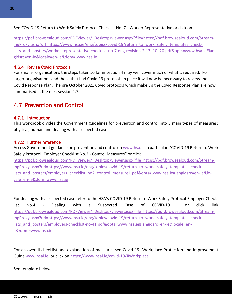See COVID-19 Return to Work Safely Protocol Checklist No. 7 - Worker Representative or click on

[https://pdf.browsealoud.com/PDFViewer/\\_Desktop/viewer.aspx?file=https://pdf.browsealoud.com/Stream](https://pdf.browsealoud.com/PDFViewer/_Desktop/viewer.aspx?file=https://pdf.browsealoud.com/StreamingProxy.ashx?url=https://www.hsa.ie/eng/topics/covid-19/return_to_work_safely_templates_checklists_and_posters/worker-representative-checklist-no-7-eng-revision-2-13_10_20.pdf&opts=www.hsa.ie#langidsrc=en-ie&locale=en-ie&dom=www.hsa.ie)[ingProxy.ashx?url=https://www.hsa.ie/eng/topics/covid-19/return\\_to\\_work\\_safely\\_templates\\_check](https://pdf.browsealoud.com/PDFViewer/_Desktop/viewer.aspx?file=https://pdf.browsealoud.com/StreamingProxy.ashx?url=https://www.hsa.ie/eng/topics/covid-19/return_to_work_safely_templates_checklists_and_posters/worker-representative-checklist-no-7-eng-revision-2-13_10_20.pdf&opts=www.hsa.ie#langidsrc=en-ie&locale=en-ie&dom=www.hsa.ie)lists and posters/worker-representative-checklist-no-7-eng-revision-2-13 10 20.pdf&opts=www.hsa.ie#lan[gidsrc=en-ie&locale=en-ie&dom=www.hsa.ie](https://pdf.browsealoud.com/PDFViewer/_Desktop/viewer.aspx?file=https://pdf.browsealoud.com/StreamingProxy.ashx?url=https://www.hsa.ie/eng/topics/covid-19/return_to_work_safely_templates_checklists_and_posters/worker-representative-checklist-no-7-eng-revision-2-13_10_20.pdf&opts=www.hsa.ie#langidsrc=en-ie&locale=en-ie&dom=www.hsa.ie)

#### <span id="page-19-0"></span>4.6.4 Revise Covid Protocols

For smaller organisations the steps taken so far in section 4 may well cover much of what is required. For larger organisations and those that had Covid 19 protocols in place it will now be necessary to review the Covid Response Plan. The pre October 2021 Covid protocols which make up the Covid Response Plan are now summarised in the next session 4.7.

## <span id="page-19-1"></span>4.7 Prevention and Control

#### <span id="page-19-2"></span>4.7.1 Introduction

This workbook divides the Government guidelines for prevention and control into 3 main types of measures: physical, human and dealing with a suspected case.

#### <span id="page-19-3"></span>4.7.2 Further reference

Access Government guidance on prevention and control o[n www.hsa.ie](http://www.hsa.ie/) in particular "COVID-19 Return to Work Safely Protocol; Employer Checklist No.2 - Control Measures" or click

[https://pdf.browsealoud.com/PDFViewer/\\_Desktop/viewer.aspx?file=https://pdf.browsealoud.com/Stream](https://pdf.browsealoud.com/PDFViewer/_Desktop/viewer.aspx?file=https://pdf.browsealoud.com/StreamingProxy.ashx?url=https://www.hsa.ie/eng/topics/covid-19/return_to_work_safely_templates_checklists_and_posters/employers_checklist_no2_control_measure1.pdf&opts=www.hsa.ie#langidsrc=en-ie&locale=en-ie&dom=www.hsa.ie)[ingProxy.ashx?url=https://www.hsa.ie/eng/topics/covid-19/return\\_to\\_work\\_safely\\_templates\\_check](https://pdf.browsealoud.com/PDFViewer/_Desktop/viewer.aspx?file=https://pdf.browsealoud.com/StreamingProxy.ashx?url=https://www.hsa.ie/eng/topics/covid-19/return_to_work_safely_templates_checklists_and_posters/employers_checklist_no2_control_measure1.pdf&opts=www.hsa.ie#langidsrc=en-ie&locale=en-ie&dom=www.hsa.ie)lists and posters/employers checklist no2 control measure1.pdf&opts=www.hsa.ie#langidsrc=en-ie&lo[cale=en-ie&dom=www.hsa.ie](https://pdf.browsealoud.com/PDFViewer/_Desktop/viewer.aspx?file=https://pdf.browsealoud.com/StreamingProxy.ashx?url=https://www.hsa.ie/eng/topics/covid-19/return_to_work_safely_templates_checklists_and_posters/employers_checklist_no2_control_measure1.pdf&opts=www.hsa.ie#langidsrc=en-ie&locale=en-ie&dom=www.hsa.ie)

For dealing with a suspected case refer to the HSA's COVID-19 Return to Work Safely Protocol Employer Checklist No.4 - Dealing with a Suspected Case of COVID-19 or click link [https://pdf.browsealoud.com/PDFViewer/\\_Desktop/viewer.aspx?file=https://pdf.browsealoud.com/Stream](https://pdf.browsealoud.com/PDFViewer/_Desktop/viewer.aspx?file=https://pdf.browsealoud.com/StreamingProxy.ashx?url=https://www.hsa.ie/eng/topics/covid-19/return_to_work_safely_templates_checklists_and_posters/employers-checklist-no-41.pdf&opts=www.hsa.ie#langidsrc=en-ie&locale=en-ie&dom=www.hsa.ie)[ingProxy.ashx?url=https://www.hsa.ie/eng/topics/covid-19/return\\_to\\_work\\_safely\\_templates\\_check](https://pdf.browsealoud.com/PDFViewer/_Desktop/viewer.aspx?file=https://pdf.browsealoud.com/StreamingProxy.ashx?url=https://www.hsa.ie/eng/topics/covid-19/return_to_work_safely_templates_checklists_and_posters/employers-checklist-no-41.pdf&opts=www.hsa.ie#langidsrc=en-ie&locale=en-ie&dom=www.hsa.ie)lists and posters/employers-checklist-no-41.pdf&opts=www.hsa.ie#langidsrc=en-ie&locale=en[ie&dom=www.hsa.ie](https://pdf.browsealoud.com/PDFViewer/_Desktop/viewer.aspx?file=https://pdf.browsealoud.com/StreamingProxy.ashx?url=https://www.hsa.ie/eng/topics/covid-19/return_to_work_safely_templates_checklists_and_posters/employers-checklist-no-41.pdf&opts=www.hsa.ie#langidsrc=en-ie&locale=en-ie&dom=www.hsa.ie)

For an overall checklist and explanation of measures see Covid-19 Workplace Protection and Improvement Guid[e www.nsai.ie](http://www.nsai.ie/) or click on<https://www.nsai.ie/covid-19/#Workplace>

See template below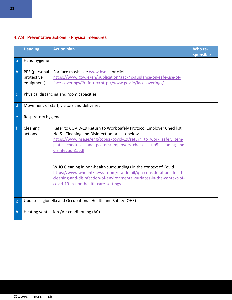### <span id="page-20-0"></span>4.7.3 Preventative actions - Physical measures

<span id="page-20-1"></span>

|              | <b>Heading</b>                                             | <b>Action plan</b>                                                                                                                                                                                                                                                                                                                                                                                                                                                                                                                                   | Who re-<br>sponsible |
|--------------|------------------------------------------------------------|------------------------------------------------------------------------------------------------------------------------------------------------------------------------------------------------------------------------------------------------------------------------------------------------------------------------------------------------------------------------------------------------------------------------------------------------------------------------------------------------------------------------------------------------------|----------------------|
| a            | Hand hygiene                                               |                                                                                                                                                                                                                                                                                                                                                                                                                                                                                                                                                      |                      |
| $\mathsf{b}$ | PPE (personal<br>protective<br>equipment)                  | For face masks see www.hse.ie or click<br>https://www.gov.ie/en/publication/aac74c-guidance-on-safe-use-of-<br>face-coverings/?referrer=http://www.gov.ie/facecoverings/                                                                                                                                                                                                                                                                                                                                                                             |                      |
| $\mathsf{C}$ |                                                            | Physical distancing and room capacities                                                                                                                                                                                                                                                                                                                                                                                                                                                                                                              |                      |
| d            |                                                            | Movement of staff, visitors and deliveries                                                                                                                                                                                                                                                                                                                                                                                                                                                                                                           |                      |
| e            | Respiratory hygiene                                        |                                                                                                                                                                                                                                                                                                                                                                                                                                                                                                                                                      |                      |
| $\mathsf{f}$ | Cleaning<br>actions                                        | Refer to COVID-19 Return to Work Safely Protocol Employer Checklist<br>No.5 - Cleaning and Disinfection or click below<br>https://www.hsa.ie/eng/topics/covid-19/return to work safely tem-<br>plates checklists and posters/employers checklist no5 cleaning-and-<br>disinfection1.pdf<br>WHO Cleaning in non-health surroundings in the context of Covid<br>https://www.who.int/news-room/q-a-detail/q-a-considerations-for-the-<br>cleaning-and-disinfection-of-environmental-surfaces-in-the-context-of-<br>covid-19-in-non-health-care-settings |                      |
| g            | Update Legionella and Occupational Health and Safety (OHS) |                                                                                                                                                                                                                                                                                                                                                                                                                                                                                                                                                      |                      |
| $\mathsf{h}$ | Heating ventilation /Air conditioning (AC)                 |                                                                                                                                                                                                                                                                                                                                                                                                                                                                                                                                                      |                      |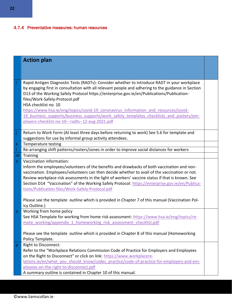### 4.7.4 Preventative measures: human resources

|             | <b>Action plan</b>                                                                                                                                                                                                                                                                                                                                                                                                                                                                                                                                                                              |  |
|-------------|-------------------------------------------------------------------------------------------------------------------------------------------------------------------------------------------------------------------------------------------------------------------------------------------------------------------------------------------------------------------------------------------------------------------------------------------------------------------------------------------------------------------------------------------------------------------------------------------------|--|
|             |                                                                                                                                                                                                                                                                                                                                                                                                                                                                                                                                                                                                 |  |
|             | Rapid Antigen Diagnostic Tests (RADTs): Consider whether to introduce RADT in your workplace<br>by engaging first in consultation with all relevant people and adhering to the guidance in Section<br>D13 of the Working Safely Protocol https://enterprise.gov.ie/en/Publications/Publication-<br>files/Work-Safely-Protocol.pdf<br>HSA checklist no. 10<br>https://www.hsa.ie/eng/topics/covid-19 coronavirus information and resources/covid-<br>19 business supports/business supports/work safely templates checklists and posters/em-<br>ployers-checklist-no-10---radts--12-aug-2021.pdf |  |
| Ĵ           | Return to Work Form (At least three days before returning to work) See 5.6 for template and<br>suggestions for use by informal group activity attendees.                                                                                                                                                                                                                                                                                                                                                                                                                                        |  |
| $\mathsf k$ | Temperature testing                                                                                                                                                                                                                                                                                                                                                                                                                                                                                                                                                                             |  |
|             | Re-arranging shift patterns/rosters/zones in order to improve social distances for workers                                                                                                                                                                                                                                                                                                                                                                                                                                                                                                      |  |
| m           | <b>Training</b>                                                                                                                                                                                                                                                                                                                                                                                                                                                                                                                                                                                 |  |
| n.          | Vaccination information:<br>Inform the employees/volunteers of the benefits and drawbacks of both vaccination and non-<br>vaccination. Employees/volunteers can then decide whether to avail of the vaccination or not.<br>Review workplace risk assessments in the light of workers' vaccine status if that is known. See<br>Section D14 "Vaccination" of the Working Safely Protocol: https://enterprise.gov.ie/en/Publica-<br>tions/Publication-files/Work-Safely-Protocol.pdf<br>Please see the template outline which is provided in Chapter 7 of this manual (Vaccination Pol-            |  |
|             | icy Outline.)                                                                                                                                                                                                                                                                                                                                                                                                                                                                                                                                                                                   |  |
| $\mathbf O$ | Working from home policy<br>See HSA Template for working from home risk assessment: https://www.hsa.ie/eng/topics/re-<br>mote working/appendix 1 homeworking risk assessment checklist.pdf                                                                                                                                                                                                                                                                                                                                                                                                      |  |
|             | Please see the template outline which is provided in Chapter 8 of this manual (Homeworking<br>Policy Template.                                                                                                                                                                                                                                                                                                                                                                                                                                                                                  |  |
| р           | <b>Right to Disconnect:</b><br>Refer to the "Workplace Relations Commission Code of Practice for Employers and Employees<br>on the Right to Disconnect" or click on link: https://www.workplacere-<br>lations.ie/en/what you should know/codes practice/code-of-practice-for-employers-and-em-<br>ployees-on-the-right-to-disconnect.pdf<br>A summary outline is contained in Chapter 10 of this manual.                                                                                                                                                                                        |  |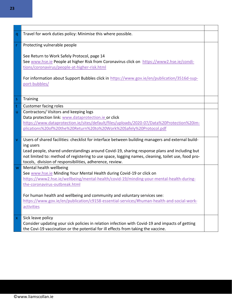| q            | Travel for work duties policy: Minimise this where possible.                                       |  |
|--------------|----------------------------------------------------------------------------------------------------|--|
|              |                                                                                                    |  |
| r            | Protecting vulnerable people                                                                       |  |
|              |                                                                                                    |  |
|              | See Return to Work Safely Protocol, page 14                                                        |  |
|              | See www.hse.ie People at higher Risk from Coronavirus click on https://www2.hse.ie/condi-          |  |
|              | tions/coronavirus/people-at-higher-risk.html                                                       |  |
|              |                                                                                                    |  |
|              | For information about Support Bubbles click in https://www.gov.ie/en/publication/3516d-sup-        |  |
|              | port-bubbles/                                                                                      |  |
|              |                                                                                                    |  |
|              |                                                                                                    |  |
| $\mathsf S$  | Training                                                                                           |  |
| $\mathsf{t}$ | Customer facing roles                                                                              |  |
| u.           | Contractors/ Visitors and keeping logs                                                             |  |
|              | Data protection link: www.dataprotection.ie or click                                               |  |
|              | https://www.dataprotection.ie/sites/default/files/uploads/2020-07/Data%20Protection%20im-          |  |
|              | plications%20of%20the%20Return%20to%20Work%20Safely%20Protocol.pdf                                 |  |
|              |                                                                                                    |  |
| $\mathbf V$  | Users of shared facilities: checklist for interface between building managers and external build-  |  |
|              | ing users                                                                                          |  |
|              | Lead people, shared understandings around Covid-19, sharing response plans and including but       |  |
|              | not limited to: method of registering to use space, logging names, cleaning, toilet use, food pro- |  |
|              | tocols, division of responsibilities, adherence, review.                                           |  |
| W            | Mental health wellbeing                                                                            |  |
|              | See www.hse.ie Minding Your Mental Health during Covid-19 or click on                              |  |
|              | https://www2.hse.ie/wellbeing/mental-health/covid-19/minding-your-mental-health-during-            |  |
|              | the-coronavirus-outbreak.html                                                                      |  |
|              |                                                                                                    |  |
|              | For human health and wellbeing and community and voluntary services see:                           |  |
|              | https://www.gov.ie/en/publication/c9158-essential-services/#human-health-and-social-work-          |  |
|              | activities                                                                                         |  |
|              |                                                                                                    |  |
| $\mathsf X$  | Sick leave policy                                                                                  |  |
|              | Consider updating your sick policies in relation infection with Covid-19 and impacts of getting    |  |
|              | the Covi-19 vaccination or the potential for ill effects from taking the vaccine.                  |  |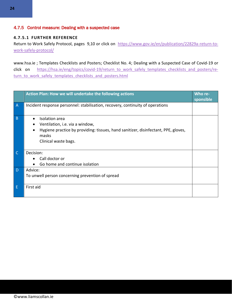### <span id="page-23-0"></span>4.7.5 Control measure: Dealing with a suspected case

#### **4.7.5.1 FURTHER REFERENCE**

Return to Work Safely Protocol, pages 9,10 or click on [https://www.gov.ie/en/publication/22829a-return-to](https://www.gov.ie/en/publication/22829a-return-to-work-safely-protocol/)[work-safely-protocol/](https://www.gov.ie/en/publication/22829a-return-to-work-safely-protocol/)

www.hsa.ie ; Templates Checklists and Posters; Checklist No. 4; Dealing with a Suspected Case of Covid-19 or click on https://hsa.ie/eng/topics/covid-19/return to work safely templates checklists and posters/re[turn\\_to\\_work\\_safely\\_templates\\_checklists\\_and\\_posters.html](https://hsa.ie/eng/topics/covid-19/return_to_work_safely_templates_checklists_and_posters/return_to_work_safely_templates_checklists_and_posters.html)

|                | Action Plan: How we will undertake the following actions                                                                                                                                                               | Who re-<br>sponsible |
|----------------|------------------------------------------------------------------------------------------------------------------------------------------------------------------------------------------------------------------------|----------------------|
| $\overline{A}$ | Incident response personnel: stabilisation, recovery, continuity of operations                                                                                                                                         |                      |
| B              | Isolation area<br>$\bullet$<br>Ventilation, <i>i.e.</i> via a window,<br>$\bullet$<br>Hygiene practice by providing: tissues, hand sanitizer, disinfectant, PPE, gloves,<br>$\bullet$<br>masks<br>Clinical waste bags. |                      |
| <sub>C</sub>   | Decision:<br>Call doctor or<br>$\bullet$<br>Go home and continue isolation<br>$\bullet$                                                                                                                                |                      |
| D              | Advice:<br>To unwell person concerning prevention of spread                                                                                                                                                            |                      |
| Ε              | First aid                                                                                                                                                                                                              |                      |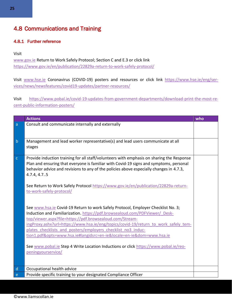## <span id="page-24-0"></span>4.8 Communications and Training

#### <span id="page-24-1"></span>4.8.1 Further reference

#### Visit

[www.gov.ie](http://www.gov.ie/) Return to Work Safely Protocol; Section C and E.3 or click link <https://www.gov.ie/en/publication/22829a-return-to-work-safely-protocol/>

Visit [www.hse.ie](http://www.hse.ie/) Coronavirus (COVID-19) posters and resources or click link [https://www.hse.ie/eng/ser](https://www.hse.ie/eng/services/news/newsfeatures/covid19-updates/partner-resources/)[vices/news/newsfeatures/covid19-updates/partner-resources/](https://www.hse.ie/eng/services/news/newsfeatures/covid19-updates/partner-resources/)

Visit [https://www.pobal.ie/covid-19-updates-from-government-departments/download-print-the-most-re](https://www.pobal.ie/covid-19-updates-from-government-departments/download-print-the-most-recent-public-information-posters/)[cent-public-information-posters/](https://www.pobal.ie/covid-19-updates-from-government-departments/download-print-the-most-recent-public-information-posters/)

|              | <b>Actions</b>                                                                                                                                                                                                                                                                                                                                                                                                                                               | who |
|--------------|--------------------------------------------------------------------------------------------------------------------------------------------------------------------------------------------------------------------------------------------------------------------------------------------------------------------------------------------------------------------------------------------------------------------------------------------------------------|-----|
| a            | Consult and communicate internally and externally                                                                                                                                                                                                                                                                                                                                                                                                            |     |
| $\mathsf{b}$ | Management and lead worker representative(s) and lead users communicate at all<br>stages                                                                                                                                                                                                                                                                                                                                                                     |     |
| $\mathsf{C}$ | Provide induction training for all staff/volunteers with emphasis on sharing the Response<br>Plan and ensuring that everyone is familiar with Covid-19 signs and symptoms, personal<br>behavior advice and revisions to any of the policies above especially changes in 4.7.3,<br>4.7.4, 4.75<br>See Return to Work Safely Protocol https://www.gov.ie/en/publication/22829a-return-<br>to-work-safely-protocol/                                             |     |
|              | See www.hsa.ie Covid-19 Return to work Safely Protocol, Employer Checklist No. 3;<br>Induction and Familiarization. https://pdf.browsealoud.com/PDFViewer/ Desk-<br>top/viewer.aspx?file=https://pdf.browsealoud.com/Stream-<br>ingProxy.ashx?url=https://www.hsa.ie/eng/topics/covid-19/return to work safely tem-<br>plates checklists and posters/employers checklist no3 induc-<br>tion1.pdf&opts=www.hsa.ie#langidsrc=en-ie&locale=en-ie&dom=www.hsa.ie |     |
|              | See www.pobal.ie Step 4 Write Location Inductions or click https://www.pobal.ie/reo-<br>peningyourservice/                                                                                                                                                                                                                                                                                                                                                   |     |
| d            | Occupational health advice                                                                                                                                                                                                                                                                                                                                                                                                                                   |     |
| $\mathsf{e}$ | Provide specific training to your designated Compliance Officer                                                                                                                                                                                                                                                                                                                                                                                              |     |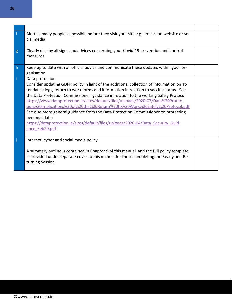| $\mathbf{f}$ | Alert as many people as possible before they visit your site e.g. notices on website or so-<br>cial media                                                                                                                                                                                                                                                                                                                                                                                                                                                                                                                                                                        |  |
|--------------|----------------------------------------------------------------------------------------------------------------------------------------------------------------------------------------------------------------------------------------------------------------------------------------------------------------------------------------------------------------------------------------------------------------------------------------------------------------------------------------------------------------------------------------------------------------------------------------------------------------------------------------------------------------------------------|--|
| g            | Clearly display all signs and advices concerning your Covid-19 prevention and control<br>measures                                                                                                                                                                                                                                                                                                                                                                                                                                                                                                                                                                                |  |
| h            | Keep up to date with all official advice and communicate these updates within your or-<br>ganisation                                                                                                                                                                                                                                                                                                                                                                                                                                                                                                                                                                             |  |
| Ť            | Data protection<br>Consider updating GDPR policy in light of the additional collection of information on at-<br>tendance logs, return to work forms and information in relation to vaccine status. See<br>the Data Protection Commissioner guidance in relation to the working Safely Protocol<br>https://www.dataprotection.ie/sites/default/files/uploads/2020-07/Data%20Protec-<br>tion%20implications%20of%20the%20Return%20to%20Work%20Safely%20Protocol.pdf<br>See also more general guidance from the Data Protection Commissioner on protecting<br>personal data:<br>https://dataprotection.ie/sites/default/files/uploads/2020-04/Data Security Guid-<br>ance Feb20.pdf |  |
|              | Internet, cyber and social media policy<br>A summary outline is contained in Chapter 9 of this manual and the full policy template<br>is provided under separate cover to this manual for those completing the Ready and Re-<br>turning Session.                                                                                                                                                                                                                                                                                                                                                                                                                                 |  |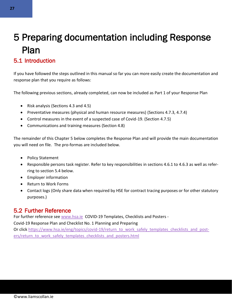## <span id="page-26-0"></span>5 Preparing documentation including Response Plan

## <span id="page-26-1"></span>5.1 Introduction

If you have followed the steps outlined in this manual so far you can more easily create the documentation and response plan that you require as follows:

The following previous sections, already completed, can now be included as Part 1 of your Response Plan

- Risk analysis (Sections 4.3 and 4.5)
- Preventative measures (physical and human resource measures) (Sections 4.7.3, 4.7.4)
- Control measures in the event of a suspected case of Covid-19. (Section 4.7.5)
- Communications and training measures (Section 4.8)

The remainder of this Chapter 5 below completes the Response Plan and will provide the main documentation you will need on file. The pro-formas are included below.

- Policy Statement
- Responsible persons task register. Refer to key responsibilities in sections 4.6.1 to 4.6.3 as well as referring to section 5.4 below.
- Employer information
- Return to Work Forms
- Contact logs (Only share data when required by HSE for contract tracing purposes or for other statutory purposes.)

## <span id="page-26-2"></span>5.2 Further Reference

For further reference see [www.hsa.ie](http://www.hsa.ie/) COVID-19 Templates, Checklists and Posters -

Covid-19 Response Plan and Checklist No. 1 Planning and Preparing

Or clic[k https://www.hsa.ie/eng/topics/covid-19/return\\_to\\_work\\_safely\\_templates\\_checklists\\_and\\_post](https://www.hsa.ie/eng/topics/covid-19/return_to_work_safely_templates_checklists_and_posters/return_to_work_safely_templates_checklists_and_posters.html)[ers/return\\_to\\_work\\_safely\\_templates\\_checklists\\_and\\_posters.html](https://www.hsa.ie/eng/topics/covid-19/return_to_work_safely_templates_checklists_and_posters/return_to_work_safely_templates_checklists_and_posters.html)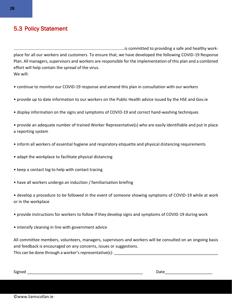## <span id="page-27-0"></span>5.3 Policy Statement

…………………………………………………………………………………………….is committed to providing a safe and healthy workplace for all our workers and customers. To ensure that, we have developed the following COVID-19 Response Plan. All managers, supervisors and workers are responsible for the implementation of this plan and a combined effort will help contain the spread of the virus. We will:

- continue to monitor our COVID-19 response and amend this plan in consultation with our workers
- provide up to date information to our workers on the Public Health advice issued by the HSE and Gov.ie
- display information on the signs and symptoms of COVID-19 and correct hand-washing techniques

• provide an adequate number of trained Worker Representative(s) who are easily identifiable and put in place a reporting system

- inform all workers of essential hygiene and respiratory etiquette and physical distancing requirements
- adapt the workplace to facilitate physical distancing
- keep a contact log to help with contact tracing
- have all workers undergo an induction / familiarisation briefing

• develop a procedure to be followed in the event of someone showing symptoms of COVID-19 while at work or in the workplace

- provide instructions for workers to follow if they develop signs and symptoms of COVID-19 during work
- intensify cleaning in line with government advice

All committee members, volunteers, managers, supervisors and workers will be consulted on an ongoing basis and feedback is encouraged on any concerns, issues or suggestions. This can be done through a worker's representative(s):

Signed \_\_\_\_\_\_\_\_\_\_\_\_\_\_\_\_\_\_\_\_\_\_\_\_\_\_\_\_\_\_\_\_\_\_\_\_\_\_\_\_\_\_\_\_\_\_\_\_\_\_\_ Date\_\_\_\_\_\_\_\_\_\_\_\_\_\_\_\_\_\_\_\_\_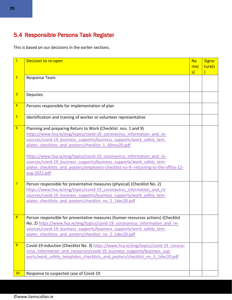## <span id="page-28-0"></span>5.4 Responsible Persons Task Register

This is based on our decisions in the earlier sections.

| $\overline{1}$          | Decision to re-open                                                                                                                                      | <b>Na</b> | Signa- |
|-------------------------|----------------------------------------------------------------------------------------------------------------------------------------------------------|-----------|--------|
|                         |                                                                                                                                                          | me(       | ture(s |
| $\overline{2}$          | Response Team                                                                                                                                            | s)        |        |
|                         |                                                                                                                                                          |           |        |
|                         |                                                                                                                                                          |           |        |
| $\overline{3}$          | <b>Deputies</b>                                                                                                                                          |           |        |
|                         |                                                                                                                                                          |           |        |
| $\overline{\mathbf{4}}$ | Persons responsible for implementation of plan                                                                                                           |           |        |
| $\overline{\mathbf{5}}$ | Identification and training of worker or volunteer representative                                                                                        |           |        |
|                         |                                                                                                                                                          |           |        |
| $6\overline{6}$         | Planning and preparing Return to Work (Checklist nos. 1 and 9)                                                                                           |           |        |
|                         | https://www.hsa.ie/eng/topics/covid-19 coronavirus information and re-                                                                                   |           |        |
|                         | sources/covid-19 business supports/business supports/work safely tem-                                                                                    |           |        |
|                         | plates checklists and posters/checklist 1 30nov20.pdf                                                                                                    |           |        |
|                         | https://www.hsa.ie/eng/topics/covid-19 coronavirus information and re-                                                                                   |           |        |
|                         | sources/covid-19 business supports/business supports/work safely tem-                                                                                    |           |        |
|                         | plates checklists and posters/employers-checklist-no-9--returning-to-the-office-12-                                                                      |           |        |
|                         | aug-2021.pdf                                                                                                                                             |           |        |
|                         |                                                                                                                                                          |           |        |
| $\overline{7}$          | Person responsible for preventative measures (physical) (Checklist No. 2)                                                                                |           |        |
|                         | https://www.hsa.ie/eng/topics/covid-19 coronavirus information and re-                                                                                   |           |        |
|                         | sources/covid-19 business supports/business supports/work safely tem-                                                                                    |           |        |
|                         | plates checklists and posters/checklist no 2 1dec20.pdf                                                                                                  |           |        |
|                         |                                                                                                                                                          |           |        |
| $\boldsymbol{8}$        | Person responsible for preventative measures (human resources actions) (Checklist                                                                        |           |        |
|                         | No. 2) https://www.hsa.ie/eng/topics/covid-19 coronavirus information and re-                                                                            |           |        |
|                         | sources/covid-19 business supports/business supports/work safely tem-                                                                                    |           |        |
|                         | plates checklists and posters/checklist no 2 1dec20.pdf                                                                                                  |           |        |
|                         |                                                                                                                                                          |           |        |
| 9                       | Covid-19 induction (Checklist No. 3) https://www.hsa.ie/eng/topics/covid-19 corona-                                                                      |           |        |
|                         | virus information and resources/covid-19 business supports/business sup-<br>ports/work safely templates checklists and posters/checklist no 3 1dec20.pdf |           |        |
|                         |                                                                                                                                                          |           |        |
|                         |                                                                                                                                                          |           |        |
| 10                      | Response to suspected case of Covid-19                                                                                                                   |           |        |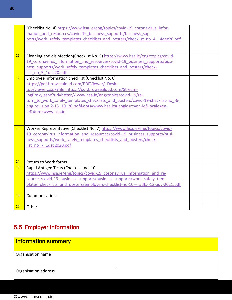|          | (Checklist No. 4) https://www.hsa.ie/eng/topics/covid-19 coronavirus infor-      |  |
|----------|----------------------------------------------------------------------------------|--|
|          | mation and resources/covid-19 business supports/business sup-                    |  |
|          | ports/work safely templates checklists and posters/checklist no 4 14dec20.pdf    |  |
|          |                                                                                  |  |
|          |                                                                                  |  |
| 11       | Cleaning and disinfection(Checklist No. 5) https://www.hsa.ie/eng/topics/covid-  |  |
|          | 19 coronavirus information and resources/covid-19 business supports/busi-        |  |
|          | ness supports/work safely templates checklists and posters/check-                |  |
|          | list no 5 1dec20.pdf                                                             |  |
| 12       | Employee information checklist (Checklist No. 6)                                 |  |
|          | https://pdf.browsealoud.com/PDFViewer/ Desk-                                     |  |
|          | top/viewer.aspx?file=https://pdf.browsealoud.com/Stream-                         |  |
|          | ingProxy.ashx?url=https://www.hsa.ie/eng/topics/covid-19/re-                     |  |
|          | turn to work safely templates checklists and posters/covid-19-checklist-no -6-   |  |
|          | eng-revision-2-13 10 20.pdf&opts=www.hsa.ie#langidsrc=en-ie&locale=en-           |  |
|          | ie&dom=www.hsa.ie                                                                |  |
|          |                                                                                  |  |
|          |                                                                                  |  |
| 13       | Worker Representative (Checklist No. 7) https://www.hsa.ie/eng/topics/covid-     |  |
|          | 19 coronavirus information and resources/covid-19 business supports/busi-        |  |
|          | ness supports/work safely templates checklists and posters/check-                |  |
|          | list no 7 1dec2020.pdf                                                           |  |
|          |                                                                                  |  |
|          |                                                                                  |  |
| 14<br>15 | <b>Return to Work forms</b>                                                      |  |
|          | Rapid Antigen Tests (Checklist no. 10)                                           |  |
|          | https://www.hsa.ie/eng/topics/covid-19 coronavirus information and re-           |  |
|          | sources/covid-19 business supports/business supports/work safely tem-            |  |
|          | plates checklists and posters/employers-checklist-no-10---radts--12-aug-2021.pdf |  |
| 16       | Communications                                                                   |  |
|          |                                                                                  |  |
| 17       | Other                                                                            |  |
|          |                                                                                  |  |

## <span id="page-29-0"></span>5.5 Employer Information

<span id="page-29-1"></span>

| Information summary  |  |
|----------------------|--|
| Organisation name    |  |
| Organisation address |  |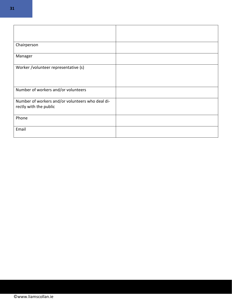| Chairperson                                                                |  |
|----------------------------------------------------------------------------|--|
| Manager                                                                    |  |
| Worker /volunteer representative (s)                                       |  |
|                                                                            |  |
| Number of workers and/or volunteers                                        |  |
| Number of workers and/or volunteers who deal di-<br>rectly with the public |  |
| Phone                                                                      |  |
| Email                                                                      |  |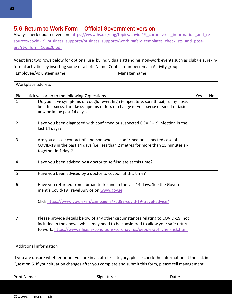## <span id="page-31-0"></span>5.6 Return to Work Form – Official Government version

Always check updated version[: https://www.hsa.ie/eng/topics/covid-19\\_coronavirus\\_information\\_and\\_re](https://www.hsa.ie/eng/topics/covid-19_coronavirus_information_and_resources/covid-19_business_supports/business_supports/work_safely_templates_checklists_and_posters/rtw_form_1dec20.pdf)sources/covid-19 business supports/business supports/work safely templates checklists and post[ers/rtw\\_form\\_1dec20.pdf](https://www.hsa.ie/eng/topics/covid-19_coronavirus_information_and_resources/covid-19_business_supports/business_supports/work_safely_templates_checklists_and_posters/rtw_form_1dec20.pdf)

Adapt first two rows below for optional use by individuals attending non-work events such as club/leisure/informal activities by inserting some or all of: Name: Contact number/email: Activity group

| Employee/volunteer name |                                                                                                                                                                                                                                                         | Manager name |     |           |  |  |
|-------------------------|---------------------------------------------------------------------------------------------------------------------------------------------------------------------------------------------------------------------------------------------------------|--------------|-----|-----------|--|--|
| Workplace address       |                                                                                                                                                                                                                                                         |              |     |           |  |  |
|                         | Please tick yes or no to the following 7 questions                                                                                                                                                                                                      |              | Yes | <b>No</b> |  |  |
| $\mathbf{1}$            | Do you have symptoms of cough, fever, high temperature, sore throat, runny nose,<br>breathlessness, flu like symptoms or loss or change to your sense of smell or taste<br>now or in the past 14 days?                                                  |              |     |           |  |  |
| $\overline{2}$          | Have you been diagnosed with confirmed or suspected COVID-19 infection in the<br>last 14 days?                                                                                                                                                          |              |     |           |  |  |
| 3                       | Are you a close contact of a person who is a confirmed or suspected case of<br>COVID-19 in the past 14 days (i.e. less than 2 metres for more than 15 minutes al-<br>together in 1 day)?                                                                |              |     |           |  |  |
| 4                       | Have you been advised by a doctor to self-isolate at this time?                                                                                                                                                                                         |              |     |           |  |  |
| 5                       | Have you been advised by a doctor to cocoon at this time?                                                                                                                                                                                               |              |     |           |  |  |
| 6                       | Have you returned from abroad to Ireland in the last 14 days. See the Govern-<br>ment's Covid-19 Travel Advice on www.gov.ie<br>Click https://www.gov.ie/en/campaigns/75d92-covid-19-travel-advice/                                                     |              |     |           |  |  |
| 7                       | Please provide details below of any other circumstances relating to COVID-19, not<br>included in the above, which may need to be considered to allow your safe return<br>to work. https://www2.hse.ie/conditions/coronavirus/people-at-higher-risk.html |              |     |           |  |  |
|                         | <b>Additional information</b>                                                                                                                                                                                                                           |              |     |           |  |  |
|                         |                                                                                                                                                                                                                                                         |              |     |           |  |  |

If you are unsure whether or not you are in an at-risk category, please check the information at the link in Question 6. If your situation changes after you complete and submit this form, please tell management.

Print Name:\_\_\_\_\_\_\_\_\_\_\_\_\_\_\_\_\_\_\_\_\_\_\_\_\_\_\_Signature:\_\_\_\_\_\_\_\_\_\_\_\_\_\_\_\_\_\_\_\_\_\_\_\_Date:\_\_\_\_\_\_\_\_\_\_\_\_\_\_-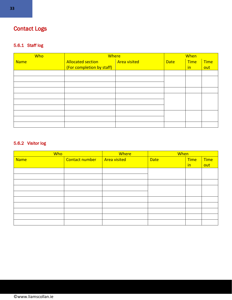## <span id="page-32-0"></span>Contact Logs

### <span id="page-32-1"></span>5.6.1 Staff log

| <b>Who</b>  | <b>Where</b>              |                     | When        |             |             |
|-------------|---------------------------|---------------------|-------------|-------------|-------------|
| <b>Name</b> | <b>Allocated section</b>  | <b>Area visited</b> | <b>Date</b> | <b>Time</b> | <b>Time</b> |
|             | (For completion by staff) |                     |             | in          | out         |
|             |                           |                     |             |             |             |
|             |                           |                     |             |             |             |
|             |                           |                     |             |             |             |
|             |                           |                     |             |             |             |
|             |                           |                     |             |             |             |
|             |                           |                     |             |             |             |
|             |                           |                     |             |             |             |
|             |                           |                     |             |             |             |
|             |                           |                     |             |             |             |
|             |                           |                     |             |             |             |

### <span id="page-32-2"></span>5.6.2 Visitor log

| Who         |                | Where               | When        |             |             |
|-------------|----------------|---------------------|-------------|-------------|-------------|
| <b>Name</b> | Contact number | <b>Area visited</b> | <b>Date</b> | <b>Time</b> | <b>Time</b> |
|             |                |                     |             | in          | out         |
|             |                |                     |             |             |             |
|             |                |                     |             |             |             |
|             |                |                     |             |             |             |
|             |                |                     |             |             |             |
|             |                |                     |             |             |             |
|             |                |                     |             |             |             |
|             |                |                     |             |             |             |
|             |                |                     |             |             |             |
|             |                |                     |             |             |             |
|             |                |                     |             |             |             |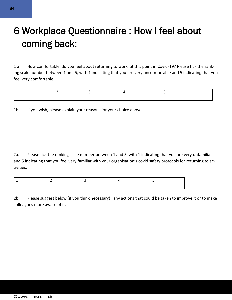## <span id="page-33-0"></span>6 Workplace Questionnaire : How I feel about coming back:

1 a How comfortable do you feel about returning to work at this point in Covid-19? Please tick the ranking scale number between 1 and 5, with 1 indicating that you are very uncomfortable and 5 indicating that you feel very comfortable.

1b. If you wish, please explain your reasons for your choice above.

2a. Please tick the ranking scale number between 1 and 5, with 1 indicating that you are very unfamiliar and 5 indicating that you feel very familiar with your organisation's covid safety protocols for returning to activities.

2b. Please suggest below (if you think necessary) any actions that could be taken to improve it or to make colleagues more aware of it.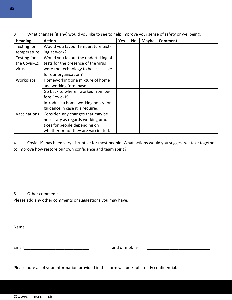| <b>Heading</b> | <b>Action</b>                        | Yes | No | <b>Maybe</b> | <b>Comment</b> |
|----------------|--------------------------------------|-----|----|--------------|----------------|
| Testing for    | Would you favour temperature test-   |     |    |              |                |
| temperature    | ing at work?                         |     |    |              |                |
| Testing for    | Would you favour the undertaking of  |     |    |              |                |
| the Covid-19   | tests for the presence of the virus  |     |    |              |                |
| virus          | were the technology to be accessible |     |    |              |                |
|                | for our organisation?                |     |    |              |                |
| Workplace      | Homeworking or a mixture of home     |     |    |              |                |
|                | and working form base                |     |    |              |                |
|                | Go back to where I worked from be-   |     |    |              |                |
|                | fore Covid-19                        |     |    |              |                |
|                | Introduce a home working policy for  |     |    |              |                |
|                | guidance in case it is required.     |     |    |              |                |
| Vaccinations   | Consider any changes that may be     |     |    |              |                |
|                | necessary as regards working prac-   |     |    |              |                |
|                | tices for people depending on        |     |    |              |                |
|                | whether or not they are vaccinated.  |     |    |              |                |

3 What changes (if any) would you like to see to help improve your sense of safety or wellbeing:

4. Covid-19 has been very disruptive for most people. What actions would you suggest we take together to improve how restore our own confidence and team spirit?

5. Other comments

Please add any other comments or suggestions you may have.

 $Name$ 

Email **Email Email Email Email Email Email Email Email Email Email Email Email Email Email Email Email Email Email Email Email Email Email Email Email Email Email Email**

Please note all of your information provided in this form will be kept strictly confidential.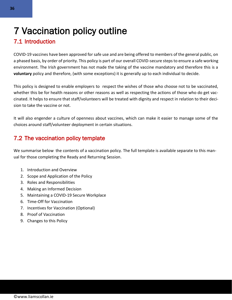## <span id="page-35-0"></span>7 Vaccination policy outline

## <span id="page-35-1"></span>7.1 Introduction

COVID-19 vaccines have been approved for safe use and are being offered to members of the general public, on a phased basis, by order of priority. This policy is part of our overall COVID-secure steps to ensure a safe working environment. The Irish government has not made the taking of the vaccine mandatory and therefore this is a **voluntary** policy and therefore, (with some exceptions) it is generally up to each individual to decide.

This policy is designed to enable employers to respect the wishes of those who choose not to be vaccinated, whether this be for health reasons or other reasons as well as respecting the actions of those who do get vaccinated. It helps to ensure that staff/volunteers will be treated with dignity and respect in relation to their decision to take the vaccine or not.

It will also engender a culture of openness about vaccines, which can make it easier to manage some of the choices around staff/volunteer deployment in certain situations.

## <span id="page-35-2"></span>7.2 The vaccination policy template

We summarise below the contents of a vaccination policy. The full template is available separate to this manual for those completing the Ready and Returning Session.

- 1. Introduction and Overview
- 2. Scope and Application of the Policy
- 3. Roles and Responsibilities
- 4. Making an Informed Decision
- 5. Maintaining a COVID-19 Secure Workplace
- 6. Time-Off for Vaccination
- 7. Incentives for Vaccination (Optional)
- 8. Proof of Vaccination
- 9. Changes to this Policy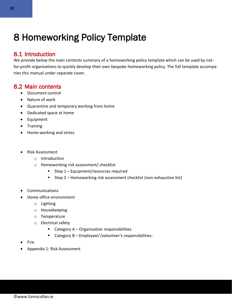## <span id="page-36-0"></span>8 Homeworking Policy Template

## <span id="page-36-1"></span>8.1 Introduction

We provide below the main contents summary of a homeworking policy template which can be used by notfor-profit organisations to quickly develop their own bespoke homeworking policy. The full template accompanies this manual under separate cover.

### <span id="page-36-2"></span>8.2 Main contents

- Document control
- Nature of work
- Quarantine and temporary working from home
- Dedicated space at home
- Equipment
- Training
- Home-working and stress
- Risk Assessment
	- o Introduction
	- o Homeworking risk assessment/ checklist
		- Step 1 Equipment/resources required
		- Step 2 Homeworking risk assessment checklist (non-exhaustive list)
- **Communications**
- Home office environment
	- o Lighting
	- o Housekeeping
	- o Temperature
	- o Electrical safety
		- Category A Organisation responsibilities
		- Category B Employees'/volunteer's responsibilities:
- Fire
- Appendix 1: Risk Assessment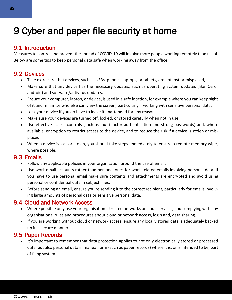## <span id="page-37-0"></span>9 Cyber and paper file security at home

## <span id="page-37-1"></span>9.1 Introduction

Measures to control and prevent the spread of COVID-19 will involve more people working remotely than usual. Below are some tips to keep personal data safe when working away from the office.

## <span id="page-37-2"></span>9.2 Devices

- Take extra care that devices, such as USBs, phones, laptops, or tablets, are not lost or misplaced,
- Make sure that any device has the necessary updates, such as operating system updates (like iOS or android) and software/antivirus updates.
- Ensure your computer, laptop, or device, is used in a safe location, for example where you can keep sight of it and minimise who else can view the screen, particularly if working with sensitive personal data.
- Lock your device if you do have to leave it unattended for any reason.
- Make sure your devices are turned off, locked, or stored carefully when not in use.
- Use effective access controls (such as multi-factor authentication and strong passwords) and, where available, encryption to restrict access to the device, and to reduce the risk if a device is stolen or misplaced.
- When a device is lost or stolen, you should take steps immediately to ensure a remote memory wipe, where possible.

## <span id="page-37-3"></span>9.3 Emails

- Follow any applicable policies in your organisation around the use of email.
- Use work email accounts rather than personal ones for work-related emails involving personal data. If you have to use personal email make sure contents and attachments are encrypted and avoid using personal or confidential data in subject lines.
- Before sending an email, ensure you're sending it to the correct recipient, particularly for emails involving large amounts of personal data or sensitive personal data.

## <span id="page-37-4"></span>9.4 Cloud and Network Access

- Where possible only use your organisation's trusted networks or cloud services, and complying with any organisational rules and procedures about cloud or network access, login and, data sharing.
- If you are working without cloud or network access, ensure any locally stored data is adequately backed up in a secure manner.

## <span id="page-37-5"></span>9.5 Paper Records

• It's important to remember that data protection applies to not only electronically stored or processed data, but also personal data in manual form (such as paper records) where it is, or is intended to be, part of filing system.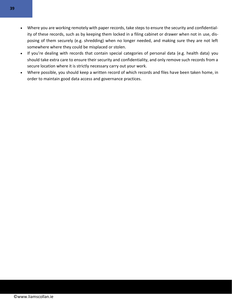- Where you are working remotely with paper records, take steps to ensure the security and confidentiality of these records, such as by keeping them locked in a filing cabinet or drawer when not in use, disposing of them securely (e.g. shredding) when no longer needed, and making sure they are not left somewhere where they could be misplaced or stolen.
- If you're dealing with records that contain special categories of personal data (e.g. health data) you should take extra care to ensure their security and confidentiality, and only remove such records from a secure location where it is strictly necessary carry out your work.
- Where possible, you should keep a written record of which records and files have been taken home, in order to maintain good data access and governance practices.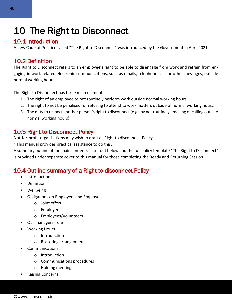## <span id="page-39-0"></span>10 The Right to Disconnect

## <span id="page-39-1"></span>10.1 Introduction

A new Code of Practice called "The Right to Disconnect" was introduced by the Government in April 2021.

## <span id="page-39-2"></span>10.2 Definition

The Right to Disconnect refers to an employee's right to be able to disengage from work and refrain from engaging in work-related electronic communications, such as emails, telephone calls or other messages, outside normal working hours.

The Right to Disconnect has three main elements:

- 1. The right of an employee to not routinely perform work outside normal working hours.
- 2. The right to not be penalised for refusing to attend to work matters outside of normal working hours.
- 3. The duty to respect another person's right to disconnect (e.g., by not routinely emailing or calling outside normal working hours).

## <span id="page-39-3"></span>10.3 Right to Disconnect Policy

Not-for-profit organisations may wish to draft a "Right to disconnect Policy

" This manual provides practical assistance to do this.

A summary outline of the main contents is set out below and the full policy template "The Right to Disconnect" is provided under separate cover to this manual for those completing the Ready and Returning Session.

## <span id="page-39-4"></span>10.4 Outline summary of a Right to disconnect Policy

- Introduction
- Definition
- Wellbeing
- Obligations on Employers and Employees
	- o Joint effort
	- o Employers
	- o Employees/Volunteers
- Our managers' role
- Working Hours
	- o Introduction
	- o Rostering arrangements
- **Communications** 
	- o Introduction
	- o Communications procedures
	- o Holding meetings
- Raising Concerns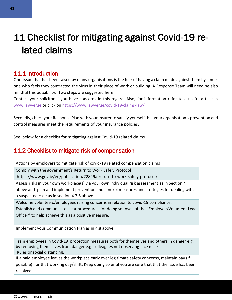## <span id="page-40-0"></span>11 Checklist for mitigating against Covid-19 related claims

### <span id="page-40-1"></span>11.1 Introduction

One issue that has been raised by many organisations is the fear of having a claim made against them by someone who feels they contracted the virus in their place of work or building. A Response Team will need be also mindful this possibility. Two steps are suggested here.

Contact your solicitor if you have concerns in this regard. Also, for information refer to a useful article in [www.lawyer.ie](http://www.lawyer.ie/) or click on<https://www.lawyer.ie/covid-19-claims-law/>

Secondly, check your Response Plan with your insurer to satisfy yourself that your organisation's prevention and control measures meet the requirements of your insurance policies.

See below for a checklist for mitigating against Covid-19 related claims

## <span id="page-40-2"></span>11.2 Checklist to mitigate risk of compensation

Actions by employers to mitigate risk of covid-19 related compensation claims

Comply with the government's Return to Work Safely Protocol

<https://www.gov.ie/en/publication/22829a-return-to-work-safely-protocol/>

Assess risks in your own workplace(s) via your own individual risk assessment as in Section 4 above and plan and implement prevention and control measures and strategies for dealing with a suspected case as in section 4.7.5 above.

Welcome volunteers/employees raising concerns in relation to covid-19 compliance.

Establish and communicate clear procedures for doing so. Avail of the "Employee/Volunteer Lead Officer" to help achieve this as a positive measure.

Implement your Communication Plan as in 4.8 above.

Train employees in Covid-19 protection measures both for themselves and others in danger e.g. by removing themselves from danger e.g. colleagues not observing face mask Rules or social distancing.

If a paid employee leaves the workplace early over legitimate safety concerns, maintain pay (if possible) for that working day/shift. Keep doing so until you are sure that that the issue has been resolved.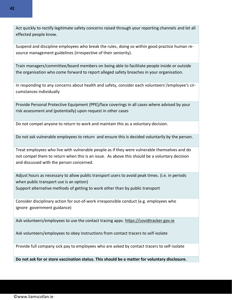Act quickly to rectify legitimate safety concerns raised through your reporting channels and let all effected people know.

Suspend and discipline employees who break the rules, doing so within good practice human resource management guidelines (irrespective of their seniority).

Train managers/committee/board members on being able to facilitate people inside or outside the organisation who come forward to report alleged safety breaches in your organisation.

In responding to any concerns about health and safety, consider each volunteers'/employee's circumstances individually

Provide Personal Protective Equipment (PPE)/face coverings in all cases where advised by your risk assessment and (potentially) upon request in other cases

Do not compel anyone to return to work and maintain this as a voluntary decision.

Do not ask vulnerable employees to return and ensure this is decided voluntarily by the person.

Treat employees who live with vulnerable people as if they were vulnerable themselves and do not compel them to return when this is an issue. As above this should be a voluntary decision and discussed with the person concerned.

Adjust hours as necessary to allow public transport users to avoid peak times. (i.e. in periods when public transport use is an option) Support alternative methods of getting to work other than by public transport

Consider disciplinary action for out-of-work irresponsible conduct (e.g. employees who ignore government guidance)

Ask volunteers/employees to use the contact tracing apps. [https://covidtracker.gov.ie](https://covidtracker.gov.ie/)

Ask volunteers/employees to obey instructions from contact tracers to self-isolate

Provide full company sick pay to employees who are asked by contact tracers to self-isolate

**Do not ask for or store vaccination status. This should be a matter for voluntary disclosure.**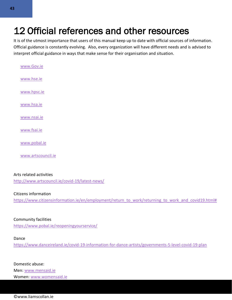## <span id="page-42-0"></span>12 Official references and other resources

It is of the utmost importance that users of this manual keep up to date with official sources of information. Official guidance is constantly evolving. Also, every organization will have different needs and is advised to interpret official guidance in ways that make sense for their organisation and situation.

| www.Gov.ie   |  |
|--------------|--|
| www.hse.ie   |  |
| www.hpsc.ie  |  |
| www.hsa.ie   |  |
| www.nsai.ie  |  |
| www.fsai.ie  |  |
| www.pobal.ie |  |
|              |  |

[www.artscouncil.ie](http://www.artscouncil.ie/)

#### Arts related activities

<http://www.artscouncil.ie/covid-19/latest-news/>

#### Citizens information

[https://www.citizensinformation.ie/en/employment/return\\_to\\_work/returning\\_to\\_work\\_and\\_covid19.html#](https://www.citizensinformation.ie/en/employment/return_to_work/returning_to_work_and_covid19.html)

#### Community facilities

<https://www.pobal.ie/reopeningyourservice/>

#### Dance

<https://www.danceireland.ie/covid-19-information-for-dance-artists/governments-5-level-covid-19-plan>

Domestic abuse: Men: [www.mensaid.ie](http://www.mensaid.ie/) Women: [www.womensaid.ie](http://www.womensaid.ie/)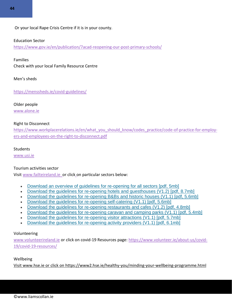Or your local Rape Crisis Centre if it is in your county.

#### Education Sector

<https://www.gov.ie/en/publication/7acad-reopening-our-post-primary-schools/>

Families

Check with your local Family Resource Centre

Men's sheds

<https://menssheds.ie/covid-guidelines/>

Older people [www.alone.ie](http://www.alone.ie/)

### Right to Disconnect

[https://www.workplacerelations.ie/en/what\\_you\\_should\\_know/codes\\_practice/code-of-practice-for-employ](https://www.workplacerelations.ie/en/what_you_should_know/codes_practice/code-of-practice-for-employers-and-employees-on-the-right-to-disconnect.pdf)[ers-and-employees-on-the-right-to-disconnect.pdf](https://www.workplacerelations.ie/en/what_you_should_know/codes_practice/code-of-practice-for-employers-and-employees-on-the-right-to-disconnect.pdf)

#### **Students**

[www.usi.ie](http://www.usi.ie/)

#### Tourism activities sector

Visi[t www.failteireland.ie](http://www.failteireland.ie/) or click on particular sectors below:

- [Download an overview of guidelines for re-opening for all sectors \[pdf, 5mb\]](https://failtecdn.azureedge.net/failteireland/Overview-Guidelines-to-Re-opening.pdf)
- Download the quidelines for re-opening hotels and questhouses (V1.2) [pdf, 8.7mb]
- [Download the guidelines for re-opening B&Bs and historic houses \(V1.1\) \[pdf, 5.6mb\]](https://failtecdn.azureedge.net/failteireland/Guidelines-for-Re-opening-b-and-b-and-historic-houses.pdf)
- Download the quidelines for re-opening self-catering (V1.1) [pdf, 5.6mb]
- [Download the guidelines for re-opening restaurants and cafes \(V1.2\) \[pdf, 4.8mb\]](https://failtecdn.azureedge.net/failteireland/Guidelines-for-Re-opening-Restaurants-and-Cafes.pdf)
- [Download the guidelines for re-opening caravan and camping parks \(V1.1\) \[pdf, 5.4mb\]](https://failtecdn.azureedge.net/failteireland/Guidelines-for-Re-opening-Caravan-and-Camping-Parks.pdf)
- [Download the guidelines for re-opening visitor attractions \(V1.1\) \[pdf, 5.7mb\]](https://failtecdn.azureedge.net/failteireland/Guidelines-for-Re-opening-Visitor-Attractions.pdf)
- [Download the guidelines for re-opening activity providers \(V1.1\) \[pdf, 6.1mb\]](https://failtecdn.azureedge.net/failteireland/Guidelines-for-Re-opening-Activity-Providers.pdf)

#### Volunteering

[www.volunteerireland.ie](http://www.volunteerireland.ie/) or click on covid-19 Resources page: [https://www.volunteer.ie/about-us/covid-](https://www.volunteer.ie/about-us/covid-19/covid-19-resources/)[19/covid-19-resources/](https://www.volunteer.ie/about-us/covid-19/covid-19-resources/)

#### Wellbeing

Visi[t www.hse.ie](http://www.hse.ie/) or click on<https://www2.hse.ie/healthy-you/minding-your-wellbeing-programme.html>